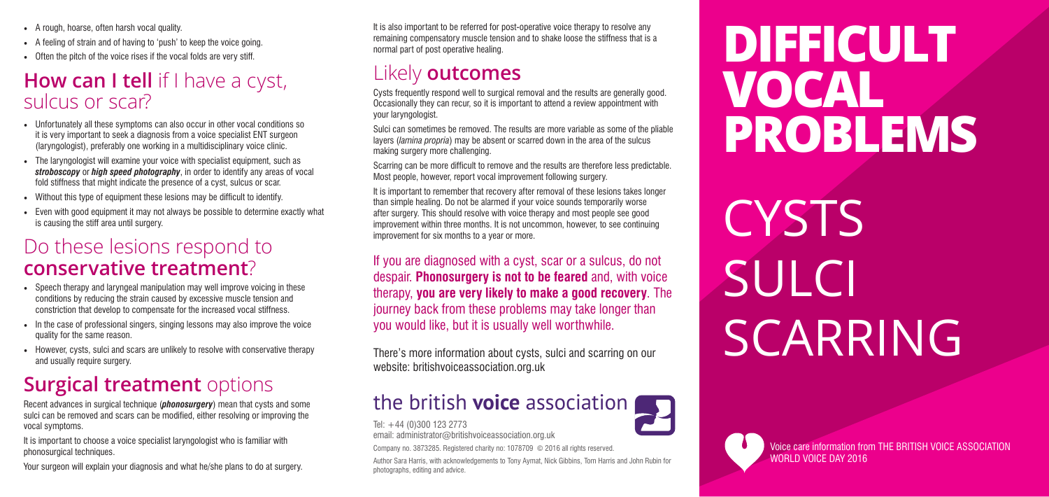- A rough, hoarse, often harsh vocal quality.
- A feeling of strain and of having to 'push' to keep the voice going.
- Often the pitch of the voice rises if the vocal folds are very stiff.

### **How can I tell** if I have a cyst, sulcus or scar?

- Unfortunately all these symptoms can also occur in other vocal conditions so it is very important to seek a diagnosis from a voice specialist ENT surgeon (laryngologist), preferably one working in a multidisciplinary voice clinic.
- The laryngologist will examine your voice with specialist equipment, such as *stroboscopy* or *high speed photography*, in order to identify any areas of vocal fold stiffness that might indicate the presence of a cyst, sulcus or scar.
- Without this type of equipment these lesions may be difficult to identify.
- Even with good equipment it may not always be possible to determine exactly what is causing the stiff area until surgery.

- Speech therapy and laryngeal manipulation may well improve voicing in these conditions by reducing the strain caused by excessive muscle tension and constriction that develop to compensate for the increased vocal stiffness.
- In the case of professional singers, singing lessons may also improve the voice quality for the same reason.
- However, cysts, sulci and scars are unlikely to resolve with conservative therapy and usually require surgery.

### **Surgical treatment** options

It is important to choose a voice specialist laryngologist who is familiar with phonosurgical techniques.

### Do these lesions respond to **conservative treatment**?

# **CYSTS** SULCI SCARRING

It is also important to be referred for post-operative voice therapy to resolve any remaining compensatory muscle tension and to shake loose the stiffness that is a normal part of post operative healing.

Recent advances in surgical technique (*phonosurgery*) mean that cysts and some sulci can be removed and scars can be modified, either resolving or improving the vocal symptoms.

Your surgeon will explain your diagnosis and what he/she plans to do at surgery.

Voice care information from THE BRITISH VOICE ASSOCIATION WORLD VOICE DAY 2016

## **DIFFICULT VOCAL PROBLEMS**

### Likely **outcomes**

Cysts frequently respond well to surgical removal and the results are generally good. Occasionally they can recur, so it is important to attend a review appointment with your laryngologist.

Sulci can sometimes be removed. The results are more variable as some of the pliable layers (*lamina propria*) may be absent or scarred down in the area of the sulcus making surgery more challenging.

Scarring can be more difficult to remove and the results are therefore less predictable. Most people, however, report vocal improvement following surgery.

It is important to remember that recovery after removal of these lesions takes longer than simple healing. Do not be alarmed if your voice sounds temporarily worse after surgery. This should resolve with voice therapy and most people see good improvement within three months. It is not uncommon, however, to see continuing improvement for six months to a year or more.

If you are diagnosed with a cyst, scar or a sulcus, do not despair. **Phonosurgery is not to be feared** and, with voice therapy, **you are very likely to make a good recovery**. The journey back from these problems may take longer than you would like, but it is usually well worthwhile.

There's more information about cysts, sulci and scarring on our website: britishvoiceassociation.org.uk

### the british **voice** association

Tel: +44 (0)300 123 2773

email: administrator@britishvoiceassociation.org.uk

Company no. 3873285. Registered charity no: 1078709 © 2016 all rights reserved.

Author Sara Harris, with acknowledgements to Tony Aymat, Nick Gibbins, Tom Harris and John Rubin for photographs, editing and advice.